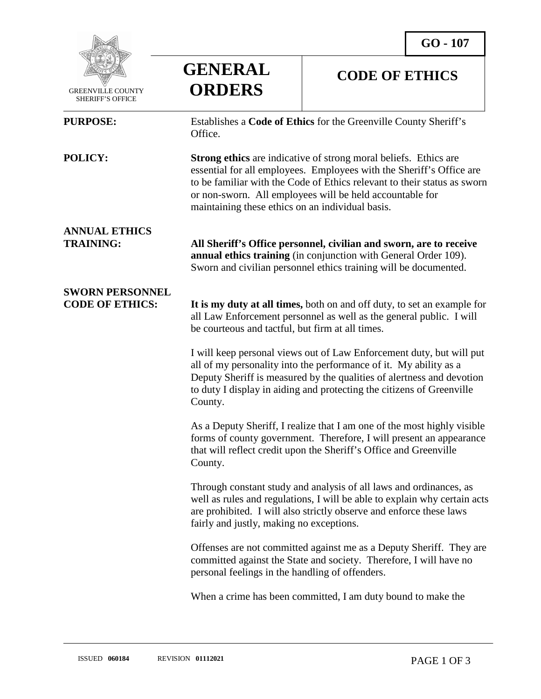

 GREENVILLE COUNTY SHERIFF'S OFFICE

## **GENERAL ORDERS**

## **CODE OF ETHICS**

| <b>PURPOSE:</b>                                  | Establishes a Code of Ethics for the Greenville County Sheriff's<br>Office.                                                                                                                                                                                                                                                                 |
|--------------------------------------------------|---------------------------------------------------------------------------------------------------------------------------------------------------------------------------------------------------------------------------------------------------------------------------------------------------------------------------------------------|
| POLICY:                                          | <b>Strong ethics</b> are indicative of strong moral beliefs. Ethics are<br>essential for all employees. Employees with the Sheriff's Office are<br>to be familiar with the Code of Ethics relevant to their status as sworn<br>or non-sworn. All employees will be held accountable for<br>maintaining these ethics on an individual basis. |
| <b>ANNUAL ETHICS</b><br><b>TRAINING:</b>         | All Sheriff's Office personnel, civilian and sworn, are to receive<br>annual ethics training (in conjunction with General Order 109).<br>Sworn and civilian personnel ethics training will be documented.                                                                                                                                   |
| <b>SWORN PERSONNEL</b><br><b>CODE OF ETHICS:</b> | It is my duty at all times, both on and off duty, to set an example for<br>all Law Enforcement personnel as well as the general public. I will<br>be courteous and tactful, but firm at all times.                                                                                                                                          |
|                                                  | I will keep personal views out of Law Enforcement duty, but will put<br>all of my personality into the performance of it. My ability as a<br>Deputy Sheriff is measured by the qualities of alertness and devotion<br>to duty I display in aiding and protecting the citizens of Greenville<br>County.                                      |
|                                                  | As a Deputy Sheriff, I realize that I am one of the most highly visible<br>forms of county government. Therefore, I will present an appearance<br>that will reflect credit upon the Sheriff's Office and Greenville<br>County.                                                                                                              |
|                                                  | Through constant study and analysis of all laws and ordinances, as<br>well as rules and regulations, I will be able to explain why certain acts<br>are prohibited. I will also strictly observe and enforce these laws<br>fairly and justly, making no exceptions.                                                                          |
|                                                  | Offenses are not committed against me as a Deputy Sheriff. They are<br>committed against the State and society. Therefore, I will have no<br>personal feelings in the handling of offenders.                                                                                                                                                |
|                                                  |                                                                                                                                                                                                                                                                                                                                             |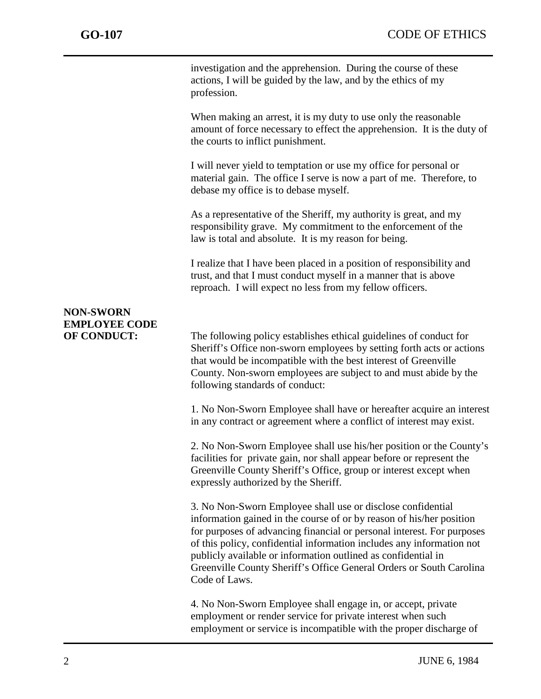j

investigation and the apprehension. During the course of these actions, I will be guided by the law, and by the ethics of my profession.

When making an arrest, it is my duty to use only the reasonable amount of force necessary to effect the apprehension. It is the duty of the courts to inflict punishment.

I will never yield to temptation or use my office for personal or material gain. The office I serve is now a part of me. Therefore, to debase my office is to debase myself.

As a representative of the Sheriff, my authority is great, and my responsibility grave. My commitment to the enforcement of the law is total and absolute. It is my reason for being.

I realize that I have been placed in a position of responsibility and trust, and that I must conduct myself in a manner that is above reproach. I will expect no less from my fellow officers.

## **NON-SWORN EMPLOYEE CODE**

**OF CONDUCT:** The following policy establishes ethical guidelines of conduct for Sheriff's Office non-sworn employees by setting forth acts or actions that would be incompatible with the best interest of Greenville County. Non-sworn employees are subject to and must abide by the following standards of conduct:

> 1. No Non-Sworn Employee shall have or hereafter acquire an interest in any contract or agreement where a conflict of interest may exist.

> 2. No Non-Sworn Employee shall use his/her position or the County's facilities for private gain, nor shall appear before or represent the Greenville County Sheriff's Office, group or interest except when expressly authorized by the Sheriff.

> 3. No Non-Sworn Employee shall use or disclose confidential information gained in the course of or by reason of his/her position for purposes of advancing financial or personal interest. For purposes of this policy, confidential information includes any information not publicly available or information outlined as confidential in Greenville County Sheriff's Office General Orders or South Carolina Code of Laws.

4. No Non-Sworn Employee shall engage in, or accept, private employment or render service for private interest when such employment or service is incompatible with the proper discharge of